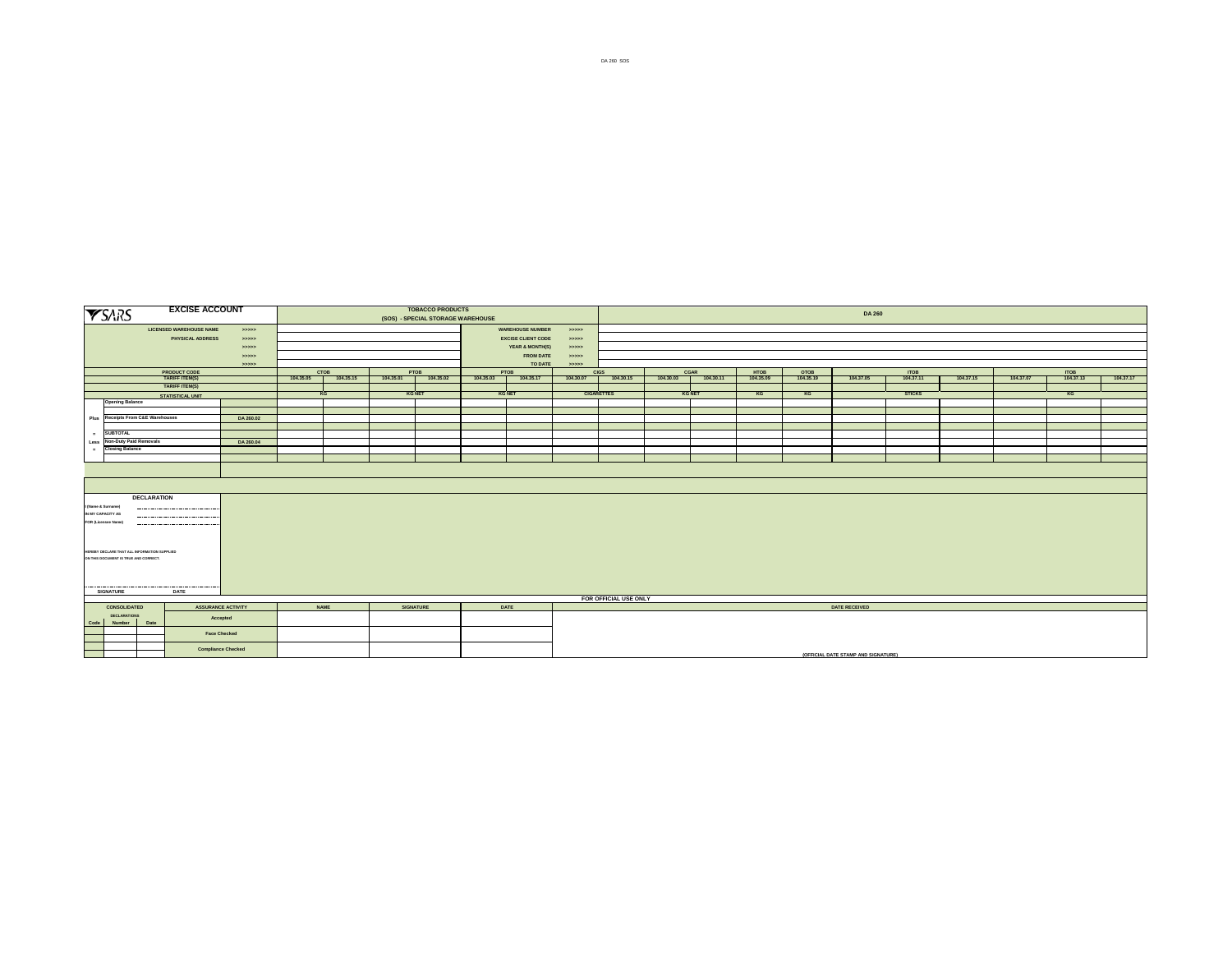| <b>YSARS</b>                                  | <b>EXCISE ACCOUNT</b>          |                           |             |           |           | <b>TOBACCO PRODUCTS</b>           |               |                            |                   |                       |           |               |             |             | <b>DA 260</b>                       |               |           |           |             |           |
|-----------------------------------------------|--------------------------------|---------------------------|-------------|-----------|-----------|-----------------------------------|---------------|----------------------------|-------------------|-----------------------|-----------|---------------|-------------|-------------|-------------------------------------|---------------|-----------|-----------|-------------|-----------|
|                                               |                                |                           |             |           |           | (SOS) - SPECIAL STORAGE WAREHOUSE |               |                            |                   |                       |           |               |             |             |                                     |               |           |           |             |           |
|                                               | <b>LICENSED WAREHOUSE NAME</b> | 30000                     |             |           |           |                                   |               | <b>WAREHOUSE NUMBER</b>    | >>>>>             |                       |           |               |             |             |                                     |               |           |           |             |           |
|                                               | PHYSICAL ADDRESS               | 30000                     |             |           |           |                                   |               | <b>EXCISE CLIENT CODE</b>  | >>>>>             |                       |           |               |             |             |                                     |               |           |           |             |           |
|                                               |                                | 33333                     |             |           |           |                                   |               | <b>YEAR &amp; MONTH(S)</b> | >>>>>             |                       |           |               |             |             |                                     |               |           |           |             |           |
|                                               |                                | 33333                     |             |           |           |                                   |               | <b>FROM DATE</b>           | 33333             |                       |           |               |             |             |                                     |               |           |           |             |           |
|                                               | <b>PRODUCT CODE</b>            | 33333                     | CTOB        |           |           | PTOR                              | PTOB          | <b>TO DATE</b>             | ->>>>><br>CIGS    |                       |           | CGAR          | <b>HTOB</b> | <b>OTOB</b> |                                     | <b>ITOB</b>   |           |           | <b>ITOB</b> |           |
|                                               | <b>TARIFF ITEM(S)</b>          |                           | 104.35.05   | 104.35.15 | 104.35.01 | 104.35.02                         | 104.35.03     | 104.35.17                  | 104.30.07         | 104.30.15             | 104.30.03 | 104.30.11     | 104.35.09   | 104.35.19   | 104.37.05                           | 104.37.11     | 104.37.15 | 104.37.07 | 104.37.13   | 104.37.17 |
|                                               | <b>TARIFF ITEM(S)</b>          |                           |             |           |           |                                   |               |                            |                   |                       |           |               |             |             |                                     |               |           |           |             |           |
|                                               | <b>STATISTICAL UNIT</b>        |                           | KG          |           |           | <b>KG NET</b>                     | <b>KG NET</b> |                            | <b>CIGARETTES</b> |                       |           | <b>KG NET</b> | KG          | KG          |                                     | <b>STICKS</b> |           |           | KG          |           |
| <b>Opening Balance</b>                        |                                |                           |             |           |           |                                   |               |                            |                   |                       |           |               |             |             |                                     |               |           |           |             |           |
| Plus Receipts From C&E Warehouses             |                                | DA 260.02                 |             |           |           |                                   |               |                            |                   |                       |           |               |             |             |                                     |               |           |           |             |           |
|                                               |                                |                           |             |           |           |                                   |               |                            |                   |                       |           |               |             |             |                                     |               |           |           |             |           |
| <b>SUBTOTAL</b>                               |                                |                           |             |           |           |                                   |               |                            |                   |                       |           |               |             |             |                                     |               |           |           |             |           |
| <b>Non-Duty Paid Removals</b><br>Less         |                                | DA 260.04                 |             |           |           |                                   |               |                            |                   |                       |           |               |             |             |                                     |               |           |           |             |           |
| <b>Closing Balance</b>                        |                                |                           |             |           |           |                                   |               |                            |                   |                       |           |               |             |             |                                     |               |           |           |             |           |
|                                               |                                |                           |             |           |           |                                   |               |                            |                   |                       |           |               |             |             |                                     |               |           |           |             |           |
|                                               |                                |                           |             |           |           |                                   |               |                            |                   |                       |           |               |             |             |                                     |               |           |           |             |           |
|                                               |                                |                           |             |           |           |                                   |               |                            |                   |                       |           |               |             |             |                                     |               |           |           |             |           |
|                                               |                                |                           |             |           |           |                                   |               |                            |                   |                       |           |               |             |             |                                     |               |           |           |             |           |
| <b>DECLARATION</b>                            |                                |                           |             |           |           |                                   |               |                            |                   |                       |           |               |             |             |                                     |               |           |           |             |           |
| I (Name & Surname)<br>$-$                     |                                |                           |             |           |           |                                   |               |                            |                   |                       |           |               |             |             |                                     |               |           |           |             |           |
| IN MY CAPACITY AS                             | _______________                |                           |             |           |           |                                   |               |                            |                   |                       |           |               |             |             |                                     |               |           |           |             |           |
| <b>FOR (Licensee Name)</b><br>----            |                                |                           |             |           |           |                                   |               |                            |                   |                       |           |               |             |             |                                     |               |           |           |             |           |
|                                               |                                |                           |             |           |           |                                   |               |                            |                   |                       |           |               |             |             |                                     |               |           |           |             |           |
|                                               |                                |                           |             |           |           |                                   |               |                            |                   |                       |           |               |             |             |                                     |               |           |           |             |           |
| HEREBY DECLARE THAT ALL INFORMATION SUPPLIED  |                                |                           |             |           |           |                                   |               |                            |                   |                       |           |               |             |             |                                     |               |           |           |             |           |
| ON THIS DOCUMENT IS TRUE AND CORRECT.         |                                |                           |             |           |           |                                   |               |                            |                   |                       |           |               |             |             |                                     |               |           |           |             |           |
|                                               |                                |                           |             |           |           |                                   |               |                            |                   |                       |           |               |             |             |                                     |               |           |           |             |           |
|                                               |                                |                           |             |           |           |                                   |               |                            |                   |                       |           |               |             |             |                                     |               |           |           |             |           |
| <b>SIGNATURE</b>                              | DATE                           |                           |             |           |           |                                   |               |                            |                   |                       |           |               |             |             |                                     |               |           |           |             |           |
|                                               |                                |                           |             |           |           |                                   |               |                            |                   | FOR OFFICIAL USE ONLY |           |               |             |             |                                     |               |           |           |             |           |
| CONSOLIDATED                                  |                                | <b>ASSURANCE ACTIVITY</b> | <b>NAME</b> |           |           | <b>SIGNATURE</b>                  |               | DATE                       |                   |                       |           |               |             |             | <b>DATE RECEIVED</b>                |               |           |           |             |           |
| <b>DECLARATIONS</b><br>Code<br>Number<br>Date | Accepted                       |                           |             |           |           |                                   |               |                            |                   |                       |           |               |             |             |                                     |               |           |           |             |           |
|                                               |                                | <b>Face Checked</b>       |             |           |           |                                   |               |                            |                   |                       |           |               |             |             |                                     |               |           |           |             |           |
|                                               |                                | <b>Compliance Checked</b> |             |           |           |                                   |               |                            |                   |                       |           |               |             |             |                                     |               |           |           |             |           |
|                                               |                                |                           |             |           |           |                                   |               |                            |                   |                       |           |               |             |             | (OFFICIAL DATE STAMP AND SIGNATURE) |               |           |           |             |           |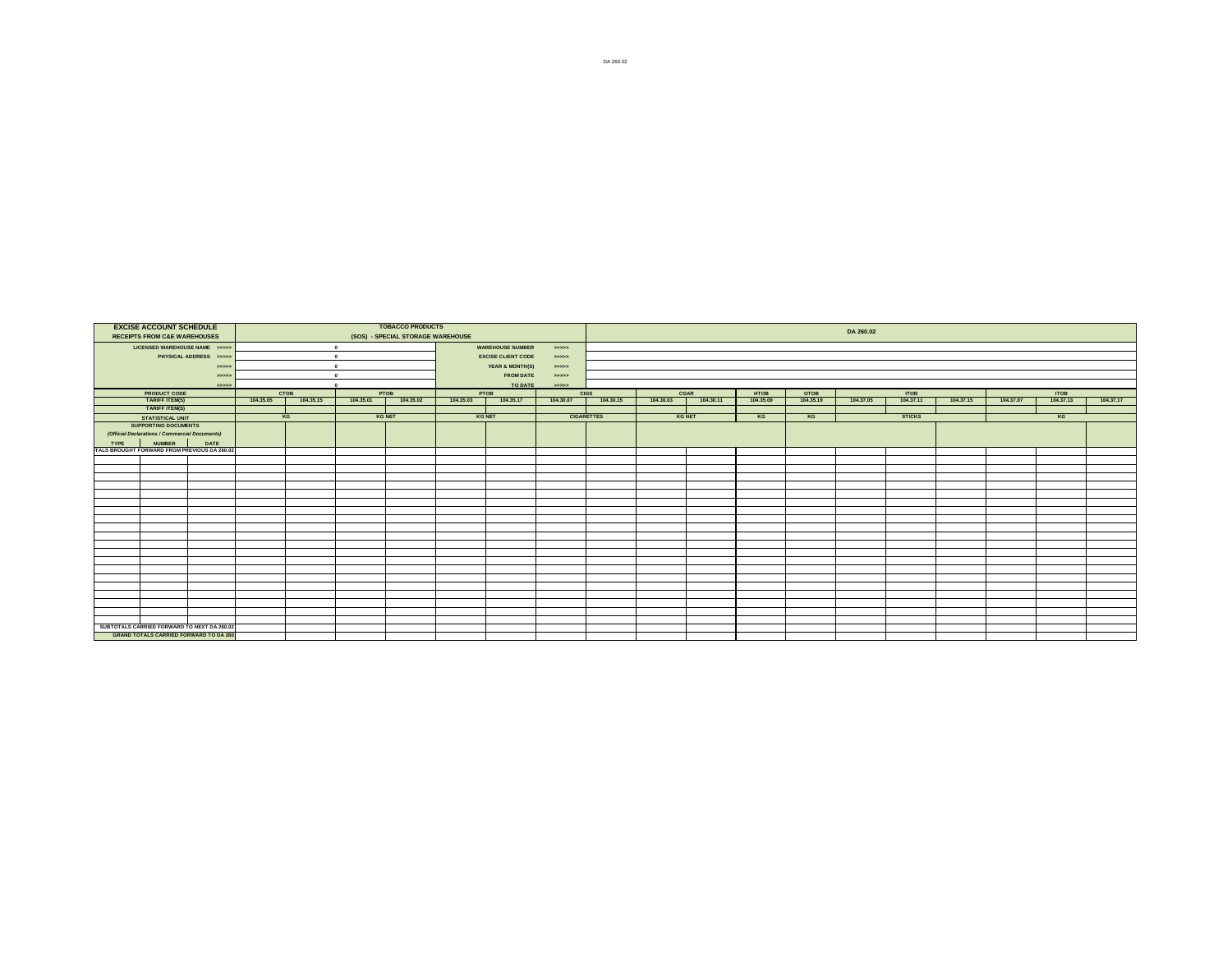|             | <b>EXCISE ACCOUNT SCHEDULE</b><br><b>RECEIPTS FROM C&amp;E WAREHOUSES</b> |                        |           |           |            | <b>TOBACCO PRODUCTS</b><br>(SOS) - SPECIAL STORAGE WAREHOUSE |           |                           |           |                   |               |           |           |           | DA 260.02 |                  |           |           |                  |           |
|-------------|---------------------------------------------------------------------------|------------------------|-----------|-----------|------------|--------------------------------------------------------------|-----------|---------------------------|-----------|-------------------|---------------|-----------|-----------|-----------|-----------|------------------|-----------|-----------|------------------|-----------|
|             |                                                                           |                        |           |           |            |                                                              |           |                           |           |                   |               |           |           |           |           |                  |           |           |                  |           |
|             | LICENSED WAREHOUSE NAME >>>>>                                             |                        |           |           | $\bullet$  |                                                              |           | <b>WAREHOUSE NUMBER</b>   | 55555     |                   |               |           |           |           |           |                  |           |           |                  |           |
|             |                                                                           | PHYSICAL ADDRESS >>>>> |           |           | $\Omega$   |                                                              |           | <b>EXCISE CLIENT CODE</b> | 55555     |                   |               |           |           |           |           |                  |           |           |                  |           |
|             |                                                                           | 55555                  |           |           | $\bullet$  |                                                              |           | YEAR & MONTH(S)           | 55555     |                   |               |           |           |           |           |                  |           |           |                  |           |
|             |                                                                           | 55555                  |           |           | $\sqrt{2}$ |                                                              |           | <b>FROM DATE</b>          | >>>>>     |                   |               |           |           |           |           |                  |           |           |                  |           |
|             |                                                                           | 55555                  |           |           |            |                                                              |           | TO DATE                   | 55555     |                   |               |           |           |           |           |                  |           |           |                  |           |
|             | <b>PRODUCT CODE</b><br>TARIFF ITEM(S)                                     |                        |           | СТОВ      |            | PTOB                                                         | PTOB      |                           |           | <b>CIGS</b>       | CGAR          |           | HTOB      | OTOB      |           | TOB<br>104.37.11 |           |           | TOB<br>104.37.13 |           |
|             |                                                                           |                        | 104.35.05 | 104.35.15 | 104.35.01  | 104.35.02                                                    | 104.35.03 | 104.35.17                 | 104.30.07 | 104.30.15         | 104.30.03     | 104.30.11 | 104.35.09 | 104.35.19 | 104.37.05 |                  | 104.37.15 | 104.37.07 |                  | 104.37.17 |
|             | <b>TARIFF ITEM(S)</b>                                                     |                        |           |           |            |                                                              |           |                           |           |                   |               |           |           |           |           |                  |           |           |                  |           |
|             | <b>STATISTICAL UNIT</b>                                                   |                        |           | KG        |            | <b>KG NET</b>                                                |           | <b>KG NET</b>             |           | <b>CIGARETTES</b> | <b>KG NET</b> |           | KG        | KG        |           | <b>STICKS</b>    |           |           | KG               |           |
|             | <b>SUPPORTING DOCUMENTS</b>                                               |                        |           |           |            |                                                              |           |                           |           |                   |               |           |           |           |           |                  |           |           |                  |           |
|             | (Official Declarations / Commercial Documents)                            |                        |           |           |            |                                                              |           |                           |           |                   |               |           |           |           |           |                  |           |           |                  |           |
| <b>TYPE</b> | <b>NUMBER</b><br>TALS BROUGHT FORWARD FROM PREVIOUS DA 260.02             | <b>DATE</b>            |           |           |            |                                                              |           |                           |           |                   |               |           |           |           |           |                  |           |           |                  |           |
|             |                                                                           |                        |           |           |            |                                                              |           |                           |           |                   |               |           |           |           |           |                  |           |           |                  |           |
|             |                                                                           |                        |           |           |            |                                                              |           |                           |           |                   |               |           |           |           |           |                  |           |           |                  |           |
|             |                                                                           |                        |           |           |            |                                                              |           |                           |           |                   |               |           |           |           |           |                  |           |           |                  |           |
|             |                                                                           |                        |           |           |            |                                                              |           |                           |           |                   |               |           |           |           |           |                  |           |           |                  |           |
|             |                                                                           |                        |           |           |            |                                                              |           |                           |           |                   |               |           |           |           |           |                  |           |           |                  |           |
|             |                                                                           |                        |           |           |            |                                                              |           |                           |           |                   |               |           |           |           |           |                  |           |           |                  |           |
|             |                                                                           |                        |           |           |            |                                                              |           |                           |           |                   |               |           |           |           |           |                  |           |           |                  |           |
|             |                                                                           |                        |           |           |            |                                                              |           |                           |           |                   |               |           |           |           |           |                  |           |           |                  |           |
|             |                                                                           |                        |           |           |            |                                                              |           |                           |           |                   |               |           |           |           |           |                  |           |           |                  |           |
|             |                                                                           |                        |           |           |            |                                                              |           |                           |           |                   |               |           |           |           |           |                  |           |           |                  |           |
|             |                                                                           |                        |           |           |            |                                                              |           |                           |           |                   |               |           |           |           |           |                  |           |           |                  |           |
|             |                                                                           |                        |           |           |            |                                                              |           |                           |           |                   |               |           |           |           |           |                  |           |           |                  |           |
|             |                                                                           |                        |           |           |            |                                                              |           |                           |           |                   |               |           |           |           |           |                  |           |           |                  |           |
|             |                                                                           |                        |           |           |            |                                                              |           |                           |           |                   |               |           |           |           |           |                  |           |           |                  |           |
|             |                                                                           |                        |           |           |            |                                                              |           |                           |           |                   |               |           |           |           |           |                  |           |           |                  |           |
|             |                                                                           |                        |           |           |            |                                                              |           |                           |           |                   |               |           |           |           |           |                  |           |           |                  |           |
|             |                                                                           |                        |           |           |            |                                                              |           |                           |           |                   |               |           |           |           |           |                  |           |           |                  |           |
|             |                                                                           |                        |           |           |            |                                                              |           |                           |           |                   |               |           |           |           |           |                  |           |           |                  |           |
|             |                                                                           |                        |           |           |            |                                                              |           |                           |           |                   |               |           |           |           |           |                  |           |           |                  |           |
|             | SUBTOTALS CARRIED FORWARD TO NEXT DA 260.02                               |                        |           |           |            |                                                              |           |                           |           |                   |               |           |           |           |           |                  |           |           |                  |           |
|             | <b>GRAND TOTALS CARRIED FORWARD TO DA 260</b>                             |                        |           |           |            |                                                              |           |                           |           |                   |               |           |           |           |           |                  |           |           |                  |           |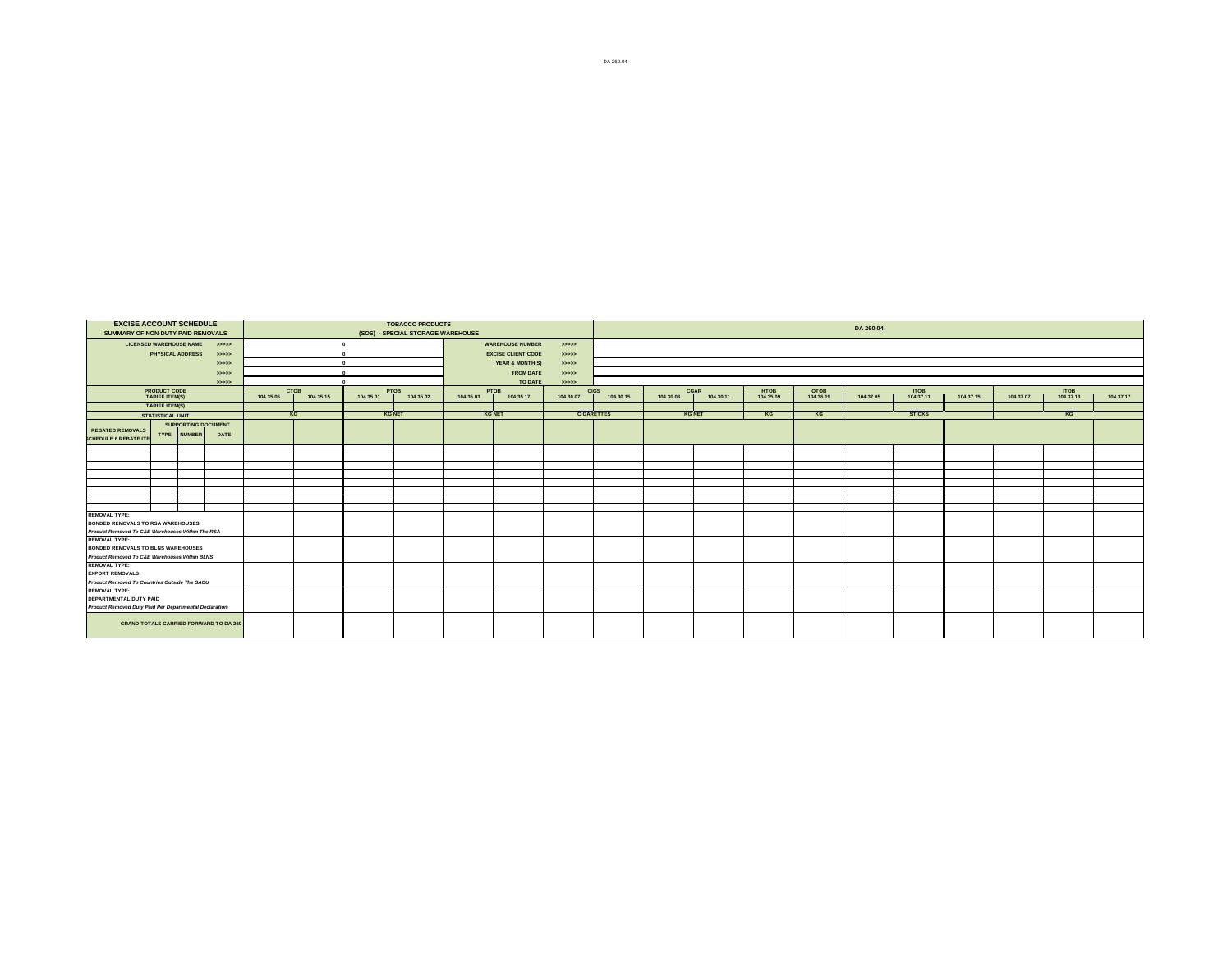| <b>EXCISE ACCOUNT SCHEDULE</b><br>SUMMARY OF NON-DUTY PAID REMOVALS |                                                        |                                           |       |             |           |            | <b>TOBACCO PRODUCTS</b><br>(SOS) - SPECIAL STORAGE WAREHOUSE |           |                           |             |                   |               |           |             |             | DA 260.04 |               |           |           |             |           |
|---------------------------------------------------------------------|--------------------------------------------------------|-------------------------------------------|-------|-------------|-----------|------------|--------------------------------------------------------------|-----------|---------------------------|-------------|-------------------|---------------|-----------|-------------|-------------|-----------|---------------|-----------|-----------|-------------|-----------|
| <b>LICENSED WAREHOUSE NAME</b>                                      |                                                        |                                           | 55555 |             |           | $\sqrt{2}$ |                                                              |           | <b>WAREHOUSE NUMBER</b>   | 55555       |                   |               |           |             |             |           |               |           |           |             |           |
|                                                                     | PHYSICAL ADDRESS                                       |                                           | 22222 |             |           | $\Omega$   |                                                              |           | <b>EXCISE CLIENT CODE</b> | > >> > >    |                   |               |           |             |             |           |               |           |           |             |           |
|                                                                     |                                                        |                                           | 55555 |             |           |            |                                                              |           | YEAR & MONTH(S)           | 55555       |                   |               |           |             |             |           |               |           |           |             |           |
|                                                                     |                                                        |                                           | 55555 |             |           |            |                                                              |           | <b>FROM DATE</b>          | > >> > >    |                   |               |           |             |             |           |               |           |           |             |           |
|                                                                     |                                                        |                                           | 55555 |             |           |            |                                                              |           | TO DATE                   | 22222       |                   |               |           |             |             |           |               |           |           |             |           |
|                                                                     | <b>PRODUCT CODE</b>                                    |                                           |       | <b>CTOB</b> |           |            | PTOB                                                         |           | PTOB                      | <b>CIGS</b> |                   | CGAR          |           | <b>HTOB</b> | <b>OTOB</b> |           | <b>ITOB</b>   |           |           | <b>ITOB</b> |           |
|                                                                     | <b>TARIFF ITEM(S)</b>                                  |                                           |       | 104.35.05   | 104.35.15 | 104.35.01  | 104.35.02                                                    | 104.35.03 | 104.35.17                 | 104.30.07   | 104.30.15         | 104.30.03     | 104.30.11 | 104.35.09   | 104.35.19   | 104.37.05 | 104.37.11     | 104.37.15 | 104.37.07 | 104.37.13   | 104.37.17 |
|                                                                     | <b>TARIFF ITEM(S)</b>                                  |                                           |       |             |           |            |                                                              |           |                           |             |                   |               |           |             |             |           |               |           |           |             |           |
|                                                                     | <b>STATISTICAL UNIT</b>                                |                                           |       |             | KG        |            | <b>KG NET</b>                                                |           | <b>KG NET</b>             |             | <b>CIGARETTES</b> | <b>KG NET</b> |           | KG          | KG          |           | <b>STICKS</b> |           |           | KG          |           |
| <b>REBATED REMOVALS</b><br><b>CHEDULE 6 REBATE ITE</b>              |                                                        | <b>SUPPORTING DOCUMENT</b><br>TYPE NUMBER | DATE  |             |           |            |                                                              |           |                           |             |                   |               |           |             |             |           |               |           |           |             |           |
|                                                                     |                                                        |                                           |       |             |           |            |                                                              |           |                           |             |                   |               |           |             |             |           |               |           |           |             |           |
|                                                                     |                                                        |                                           |       |             |           |            |                                                              |           |                           |             |                   |               |           |             |             |           |               |           |           |             |           |
|                                                                     |                                                        |                                           |       |             |           |            |                                                              |           |                           |             |                   |               |           |             |             |           |               |           |           |             |           |
|                                                                     |                                                        |                                           |       |             |           |            |                                                              |           |                           |             |                   |               |           |             |             |           |               |           |           |             |           |
|                                                                     |                                                        |                                           |       |             |           |            |                                                              |           |                           |             |                   |               |           |             |             |           |               |           |           |             |           |
|                                                                     |                                                        |                                           |       |             |           |            |                                                              |           |                           |             |                   |               |           |             |             |           |               |           |           |             |           |
|                                                                     |                                                        |                                           |       |             |           |            |                                                              |           |                           |             |                   |               |           |             |             |           |               |           |           |             |           |
| <b>REMOVAL TYPE:</b>                                                |                                                        |                                           |       |             |           |            |                                                              |           |                           |             |                   |               |           |             |             |           |               |           |           |             |           |
| BONDED REMOVALS TO RSA WAREHOUSES                                   |                                                        |                                           |       |             |           |            |                                                              |           |                           |             |                   |               |           |             |             |           |               |           |           |             |           |
| Product Removed To C&E Warehouses Within The RSA                    |                                                        |                                           |       |             |           |            |                                                              |           |                           |             |                   |               |           |             |             |           |               |           |           |             |           |
| <b>REMOVAL TYPE:</b>                                                |                                                        |                                           |       |             |           |            |                                                              |           |                           |             |                   |               |           |             |             |           |               |           |           |             |           |
| <b>BONDED REMOVALS TO BLNS WAREHOUSES</b>                           |                                                        |                                           |       |             |           |            |                                                              |           |                           |             |                   |               |           |             |             |           |               |           |           |             |           |
| Product Removed To C&E Warehouses Within BLNS                       |                                                        |                                           |       |             |           |            |                                                              |           |                           |             |                   |               |           |             |             |           |               |           |           |             |           |
| <b>REMOVAL TYPE:</b>                                                |                                                        |                                           |       |             |           |            |                                                              |           |                           |             |                   |               |           |             |             |           |               |           |           |             |           |
| <b>EXPORT REMOVALS</b>                                              |                                                        |                                           |       |             |           |            |                                                              |           |                           |             |                   |               |           |             |             |           |               |           |           |             |           |
| Product Removed To Countries Outside The SACU                       |                                                        |                                           |       |             |           |            |                                                              |           |                           |             |                   |               |           |             |             |           |               |           |           |             |           |
| DEPARTMENTAL DUTY PAID                                              | <b>REMOVAL TYPE:</b>                                   |                                           |       |             |           |            |                                                              |           |                           |             |                   |               |           |             |             |           |               |           |           |             |           |
|                                                                     | Product Removed Duty Paid Per Departmental Declaration |                                           |       |             |           |            |                                                              |           |                           |             |                   |               |           |             |             |           |               |           |           |             |           |
| <b>GRAND TOTALS CARRIED FORWARD TO DA 260</b>                       |                                                        |                                           |       |             |           |            |                                                              |           |                           |             |                   |               |           |             |             |           |               |           |           |             |           |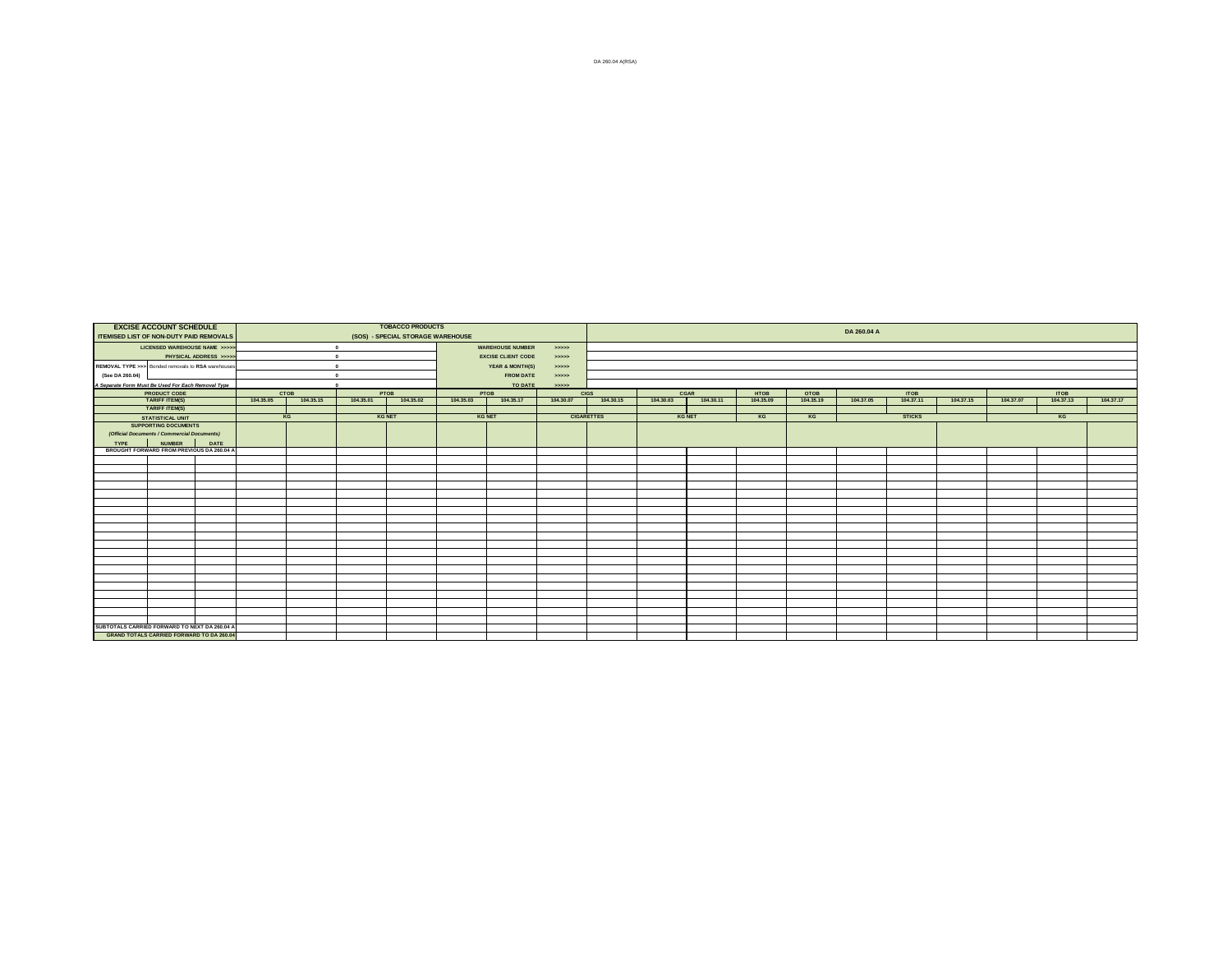|                                                    | <b>EXCISE ACCOUNT SCHEDULE</b><br>ITEMISED LIST OF NON-DUTY PAID REMOVALS                         |                       |           |             |           | <b>TOBACCO PRODUCTS</b>           |           |                           |                   |           |               |           |             |             | DA 260.04 A |               |           |           |             |           |
|----------------------------------------------------|---------------------------------------------------------------------------------------------------|-----------------------|-----------|-------------|-----------|-----------------------------------|-----------|---------------------------|-------------------|-----------|---------------|-----------|-------------|-------------|-------------|---------------|-----------|-----------|-------------|-----------|
|                                                    |                                                                                                   |                       |           |             |           | (SOS) - SPECIAL STORAGE WAREHOUSE |           |                           |                   |           |               |           |             |             |             |               |           |           |             |           |
|                                                    | LICENSED WAREHOUSE NAME >>>>>                                                                     |                       |           |             | $\bullet$ |                                   |           | <b>WAREHOUSE NUMBER</b>   | 22222             |           |               |           |             |             |             |               |           |           |             |           |
|                                                    |                                                                                                   | PHYSICAL ADDRESS >>>> |           |             | $\Omega$  |                                   |           | <b>EXCISE CLIENT CODE</b> | 55552             |           |               |           |             |             |             |               |           |           |             |           |
| REMOVAL TYPE >>> Bonded removals to RSA warehouser |                                                                                                   |                       |           |             | $\sim$    |                                   |           | YEAR & MONTH(S)           | 55555             |           |               |           |             |             |             |               |           |           |             |           |
| (See DA 260.04)                                    |                                                                                                   |                       |           |             | $\Omega$  |                                   |           | <b>FROM DATE</b>          | 55555             |           |               |           |             |             |             |               |           |           |             |           |
| A Separate Form Must Be Used For Each Removal Type |                                                                                                   |                       |           |             |           |                                   |           | TO DATE                   | 55555             |           |               |           |             |             |             |               |           |           |             |           |
|                                                    | <b>PRODUCT CODE</b><br>TARIFF ITEM(S)                                                             |                       |           | <b>CTOB</b> | PTOB      |                                   |           | PTOB                      | <b>CIGS</b>       |           | CGAR          |           | <b>HTOB</b> | <b>OTOB</b> |             | <b>ITOB</b>   |           |           | <b>ITOB</b> |           |
|                                                    |                                                                                                   |                       | 104,35.05 | 104.35.15   | 104.35.01 | 104.35.02                         | 104.35.03 | 104.35.17                 | 104.30.07         | 104.30.15 | 104.30.03     | 104.30.11 | 104,35.09   | 104.35.19   | 104.37.05   | 104.37.11     | 104.37.15 | 104.37.07 | 104.37.13   | 104.37.17 |
|                                                    | <b>TARIFF ITEM(S)</b>                                                                             |                       |           |             |           |                                   |           |                           |                   |           |               |           |             |             |             |               |           |           |             |           |
|                                                    | <b>STATISTICAL UNIT</b>                                                                           |                       |           | KG          |           | <b>KG NET</b>                     |           | <b>KG NET</b>             | <b>CIGARETTES</b> |           | <b>KG NET</b> |           | KG          | KG          |             | <b>STICKS</b> |           |           | KG          |           |
|                                                    | <b>SUPPORTING DOCUMENTS</b>                                                                       |                       |           |             |           |                                   |           |                           |                   |           |               |           |             |             |             |               |           |           |             |           |
|                                                    | (Official Documents / Commercial Documents)                                                       |                       |           |             |           |                                   |           |                           |                   |           |               |           |             |             |             |               |           |           |             |           |
| <b>TYPE</b>                                        | <b>NUMBER</b><br>BROUGHT FORWARD FROM PREVIOUS DA 260.04 A                                        | DATE                  |           |             |           |                                   |           |                           |                   |           |               |           |             |             |             |               |           |           |             |           |
|                                                    |                                                                                                   |                       |           |             |           |                                   |           |                           |                   |           |               |           |             |             |             |               |           |           |             |           |
|                                                    |                                                                                                   |                       |           |             |           |                                   |           |                           |                   |           |               |           |             |             |             |               |           |           |             |           |
|                                                    |                                                                                                   |                       |           |             |           |                                   |           |                           |                   |           |               |           |             |             |             |               |           |           |             |           |
|                                                    |                                                                                                   |                       |           |             |           |                                   |           |                           |                   |           |               |           |             |             |             |               |           |           |             |           |
|                                                    |                                                                                                   |                       |           |             |           |                                   |           |                           |                   |           |               |           |             |             |             |               |           |           |             |           |
|                                                    |                                                                                                   |                       |           |             |           |                                   |           |                           |                   |           |               |           |             |             |             |               |           |           |             |           |
|                                                    |                                                                                                   |                       |           |             |           |                                   |           |                           |                   |           |               |           |             |             |             |               |           |           |             |           |
|                                                    |                                                                                                   |                       |           |             |           |                                   |           |                           |                   |           |               |           |             |             |             |               |           |           |             |           |
|                                                    |                                                                                                   |                       |           |             |           |                                   |           |                           |                   |           |               |           |             |             |             |               |           |           |             |           |
|                                                    |                                                                                                   |                       |           |             |           |                                   |           |                           |                   |           |               |           |             |             |             |               |           |           |             |           |
|                                                    |                                                                                                   |                       |           |             |           |                                   |           |                           |                   |           |               |           |             |             |             |               |           |           |             |           |
|                                                    |                                                                                                   |                       |           |             |           |                                   |           |                           |                   |           |               |           |             |             |             |               |           |           |             |           |
|                                                    |                                                                                                   |                       |           |             |           |                                   |           |                           |                   |           |               |           |             |             |             |               |           |           |             |           |
|                                                    |                                                                                                   |                       |           |             |           |                                   |           |                           |                   |           |               |           |             |             |             |               |           |           |             |           |
|                                                    |                                                                                                   |                       |           |             |           |                                   |           |                           |                   |           |               |           |             |             |             |               |           |           |             |           |
|                                                    |                                                                                                   |                       |           |             |           |                                   |           |                           |                   |           |               |           |             |             |             |               |           |           |             |           |
|                                                    |                                                                                                   |                       |           |             |           |                                   |           |                           |                   |           |               |           |             |             |             |               |           |           |             |           |
|                                                    |                                                                                                   |                       |           |             |           |                                   |           |                           |                   |           |               |           |             |             |             |               |           |           |             |           |
|                                                    |                                                                                                   |                       |           |             |           |                                   |           |                           |                   |           |               |           |             |             |             |               |           |           |             |           |
|                                                    |                                                                                                   |                       |           |             |           |                                   |           |                           |                   |           |               |           |             |             |             |               |           |           |             |           |
|                                                    | SUBTOTALS CARRIED FORWARD TO NEXT DA 260.04 A<br><b>GRAND TOTALS CARRIED FORWARD TO DA 260.04</b> |                       |           |             |           |                                   |           |                           |                   |           |               |           |             |             |             |               |           |           |             |           |
|                                                    |                                                                                                   |                       |           |             |           |                                   |           |                           |                   |           |               |           |             |             |             |               |           |           |             |           |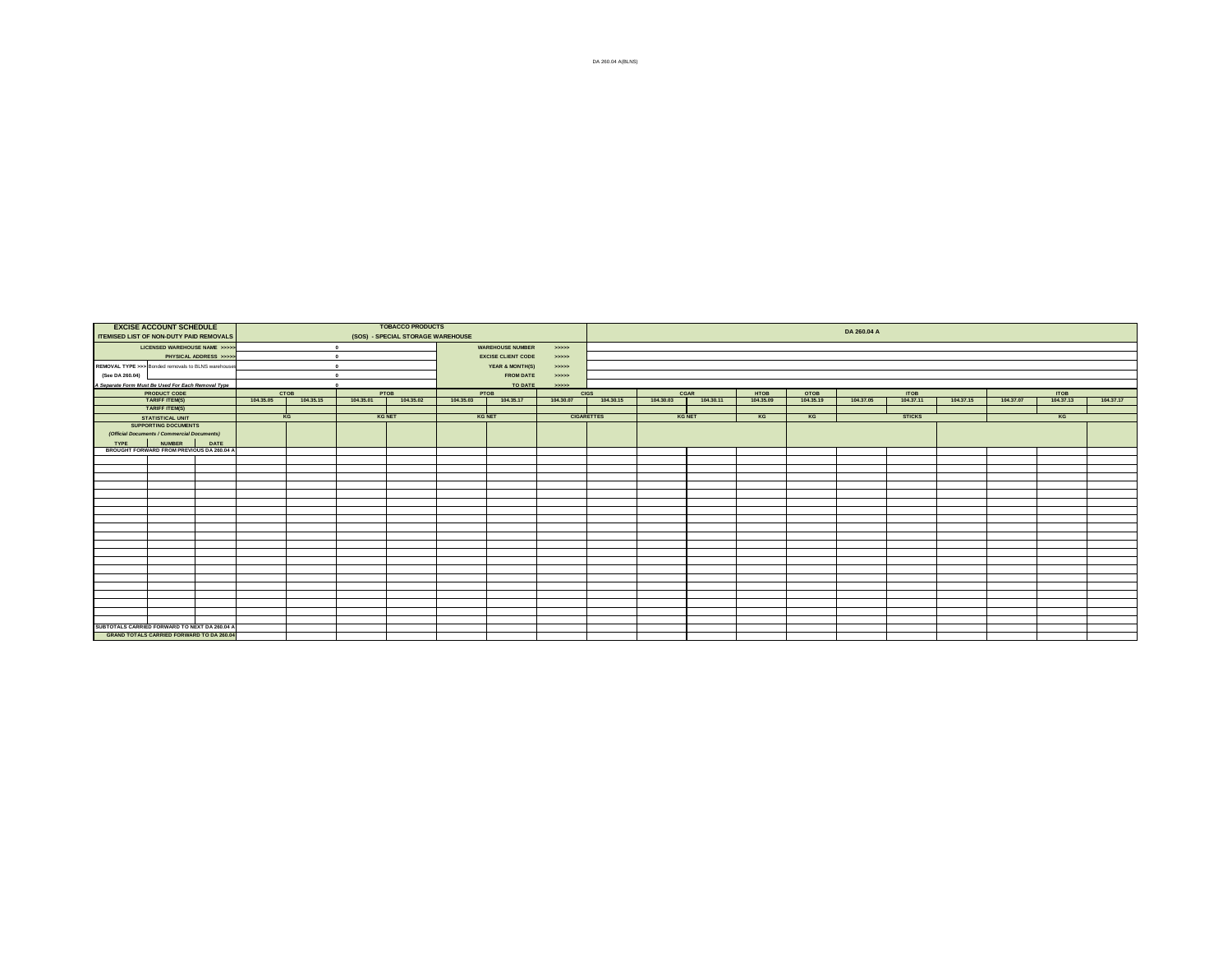| <b>EXCISE ACCOUNT SCHEDULE</b><br>ITEMISED LIST OF NON-DUTY PAID REMOVALS |                                                  |                       |           |           |           | <b>TOBACCO PRODUCTS</b><br>(SOS) - SPECIAL STORAGE WAREHOUSE |               |                           |               |                   |           |               |                   |                   | DA 260.04 A |                   |           |           |                   |           |
|---------------------------------------------------------------------------|--------------------------------------------------|-----------------------|-----------|-----------|-----------|--------------------------------------------------------------|---------------|---------------------------|---------------|-------------------|-----------|---------------|-------------------|-------------------|-------------|-------------------|-----------|-----------|-------------------|-----------|
|                                                                           |                                                  |                       |           |           |           |                                                              |               |                           |               |                   |           |               |                   |                   |             |                   |           |           |                   |           |
|                                                                           | LICENSED WAREHOUSE NAME >>>>                     |                       |           |           | $\Omega$  |                                                              |               | <b>WAREHOUSE NUMBER</b>   | $\rightarrow$ |                   |           |               |                   |                   |             |                   |           |           |                   |           |
|                                                                           |                                                  | PHYSICAL ADDRESS >>>> |           |           | $\Omega$  |                                                              |               | <b>EXCISE CLIENT CODE</b> | 55555         |                   |           |               |                   |                   |             |                   |           |           |                   |           |
| REMOVAL TYPE >>> Bonded removals to BLNS warehouse                        |                                                  |                       |           |           |           |                                                              |               | YEAR & MONTH(S)           | >             |                   |           |               |                   |                   |             |                   |           |           |                   |           |
| (See DA 260.04)                                                           |                                                  |                       |           |           |           |                                                              |               | <b>FROM DATE</b>          | 55555         |                   |           |               |                   |                   |             |                   |           |           |                   |           |
| A Separate Form Must Be Used For Each Removal Type                        |                                                  |                       |           |           |           |                                                              |               | TO DATE                   | 55555         |                   |           |               |                   |                   |             |                   |           |           |                   |           |
|                                                                           | <b>PRODUCT CODE</b><br>TARIFF ITEM(S)            |                       |           | СТОВ      |           | <b>PTOB</b>                                                  | PTOB          |                           |               | CIGS              |           | CGAR          | HTOB<br>104.35.09 | OTOB<br>104.35.19 |             | ITOB<br>104.37.11 |           |           | ITOB<br>104.37.13 |           |
|                                                                           |                                                  |                       | 104.35.05 | 104.35.15 | 104.35.01 | 104.35.02                                                    | 104.35.03     | 104.35.17                 | 104.30.07     | 104.30.15         | 104.30.03 | 104.30.11     |                   |                   | 104.37.05   |                   | 104.37.15 | 104.37.07 |                   | 104.37.17 |
|                                                                           | <b>TARIFF ITEM(S)</b>                            |                       |           |           |           |                                                              |               |                           |               |                   |           |               |                   |                   |             |                   |           |           |                   |           |
|                                                                           | <b>STATISTICAL UNIT</b>                          |                       |           | KG        |           | <b>KG NET</b>                                                | <b>KG NET</b> |                           |               | <b>CIGARETTES</b> |           | <b>KG NET</b> | KG                | KG                |             | <b>STICKS</b>     |           |           | KG                |           |
|                                                                           | <b>SUPPORTING DOCUMENTS</b>                      |                       |           |           |           |                                                              |               |                           |               |                   |           |               |                   |                   |             |                   |           |           |                   |           |
|                                                                           | (Official Documents / Commercial Documents)      |                       |           |           |           |                                                              |               |                           |               |                   |           |               |                   |                   |             |                   |           |           |                   |           |
| TYPE                                                                      | <b>NUMBER</b>                                    | DATE                  |           |           |           |                                                              |               |                           |               |                   |           |               |                   |                   |             |                   |           |           |                   |           |
|                                                                           | BROUGHT FORWARD FROM PREVIOUS DA 260.04 A        |                       |           |           |           |                                                              |               |                           |               |                   |           |               |                   |                   |             |                   |           |           |                   |           |
|                                                                           |                                                  |                       |           |           |           |                                                              |               |                           |               |                   |           |               |                   |                   |             |                   |           |           |                   |           |
|                                                                           |                                                  |                       |           |           |           |                                                              |               |                           |               |                   |           |               |                   |                   |             |                   |           |           |                   |           |
|                                                                           |                                                  |                       |           |           |           |                                                              |               |                           |               |                   |           |               |                   |                   |             |                   |           |           |                   |           |
|                                                                           |                                                  |                       |           |           |           |                                                              |               |                           |               |                   |           |               |                   |                   |             |                   |           |           |                   |           |
|                                                                           |                                                  |                       |           |           |           |                                                              |               |                           |               |                   |           |               |                   |                   |             |                   |           |           |                   |           |
|                                                                           |                                                  |                       |           |           |           |                                                              |               |                           |               |                   |           |               |                   |                   |             |                   |           |           |                   |           |
|                                                                           |                                                  |                       |           |           |           |                                                              |               |                           |               |                   |           |               |                   |                   |             |                   |           |           |                   |           |
|                                                                           |                                                  |                       |           |           |           |                                                              |               |                           |               |                   |           |               |                   |                   |             |                   |           |           |                   |           |
|                                                                           |                                                  |                       |           |           |           |                                                              |               |                           |               |                   |           |               |                   |                   |             |                   |           |           |                   |           |
|                                                                           |                                                  |                       |           |           |           |                                                              |               |                           |               |                   |           |               |                   |                   |             |                   |           |           |                   |           |
|                                                                           |                                                  |                       |           |           |           |                                                              |               |                           |               |                   |           |               |                   |                   |             |                   |           |           |                   |           |
|                                                                           |                                                  |                       |           |           |           |                                                              |               |                           |               |                   |           |               |                   |                   |             |                   |           |           |                   |           |
|                                                                           |                                                  |                       |           |           |           |                                                              |               |                           |               |                   |           |               |                   |                   |             |                   |           |           |                   |           |
|                                                                           |                                                  |                       |           |           |           |                                                              |               |                           |               |                   |           |               |                   |                   |             |                   |           |           |                   |           |
|                                                                           |                                                  |                       |           |           |           |                                                              |               |                           |               |                   |           |               |                   |                   |             |                   |           |           |                   |           |
|                                                                           |                                                  |                       |           |           |           |                                                              |               |                           |               |                   |           |               |                   |                   |             |                   |           |           |                   |           |
|                                                                           |                                                  |                       |           |           |           |                                                              |               |                           |               |                   |           |               |                   |                   |             |                   |           |           |                   |           |
|                                                                           |                                                  |                       |           |           |           |                                                              |               |                           |               |                   |           |               |                   |                   |             |                   |           |           |                   |           |
|                                                                           |                                                  |                       |           |           |           |                                                              |               |                           |               |                   |           |               |                   |                   |             |                   |           |           |                   |           |
|                                                                           |                                                  |                       |           |           |           |                                                              |               |                           |               |                   |           |               |                   |                   |             |                   |           |           |                   |           |
| SUBTOTALS CARRIED FORWARD TO NEXT DA 260.04 A                             |                                                  |                       |           |           |           |                                                              |               |                           |               |                   |           |               |                   |                   |             |                   |           |           |                   |           |
|                                                                           | <b>GRAND TOTALS CARRIED FORWARD TO DA 260.04</b> |                       |           |           |           |                                                              |               |                           |               |                   |           |               |                   |                   |             |                   |           |           |                   |           |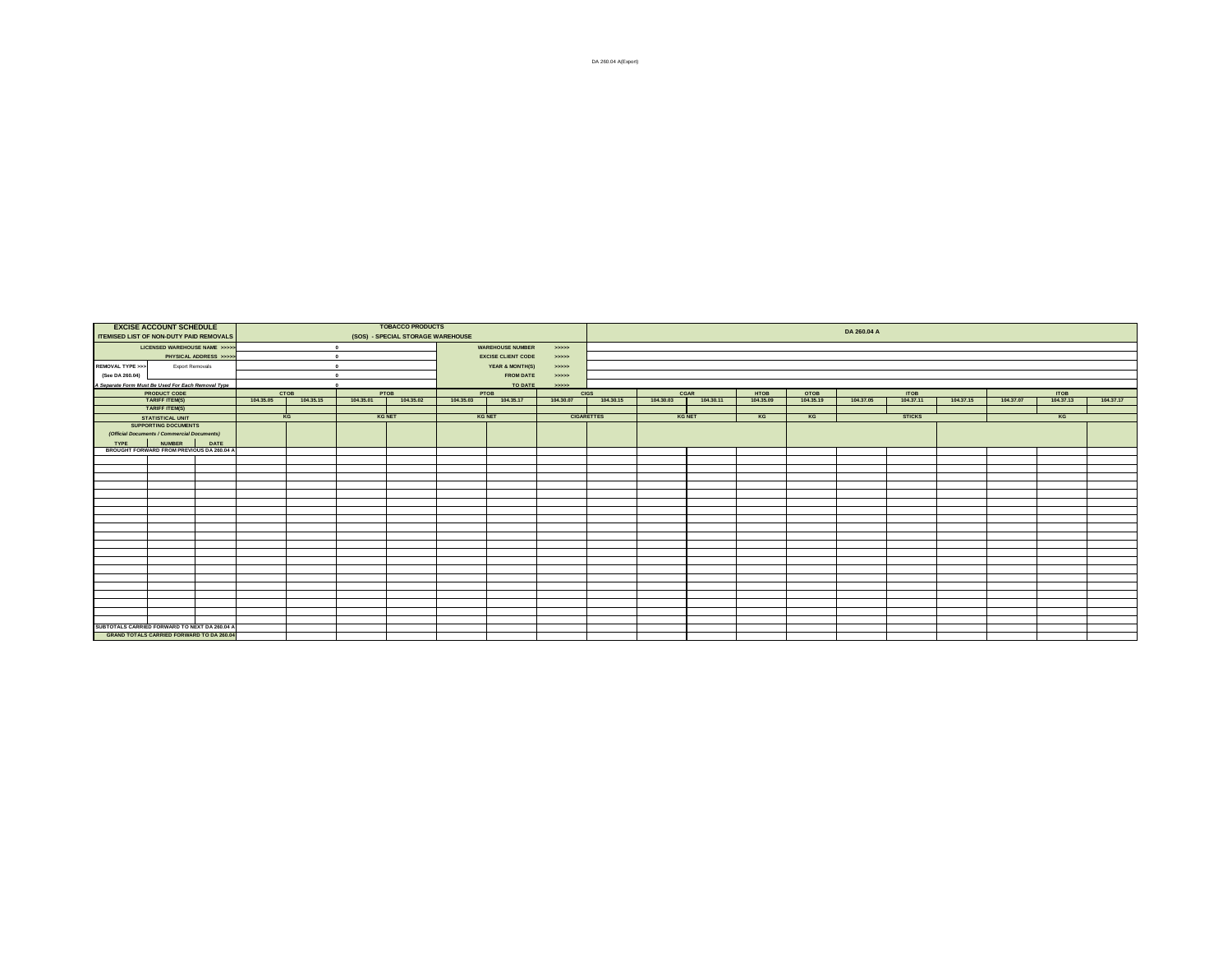| ITEMISED LIST OF NON-DUTY PAID REMOVALS            | <b>EXCISE ACCOUNT SCHEDULE</b>                             |                       |           |           |              | <b>TOBACCO PRODUCTS</b><br>(SOS) - SPECIAL STORAGE WAREHOUSE |               |                           |                   |           |               |           |                   |                   | DA 260.04 A |                  |           |           |                   |           |
|----------------------------------------------------|------------------------------------------------------------|-----------------------|-----------|-----------|--------------|--------------------------------------------------------------|---------------|---------------------------|-------------------|-----------|---------------|-----------|-------------------|-------------------|-------------|------------------|-----------|-----------|-------------------|-----------|
|                                                    | LICENSED WAREHOUSE NAME >>>>>                              |                       |           |           | $\bullet$    |                                                              |               | <b>WAREHOUSE NUMBER</b>   | 55555             |           |               |           |                   |                   |             |                  |           |           |                   |           |
|                                                    |                                                            | PHYSICAL ADDRESS >>>> |           |           | $\mathbf{0}$ |                                                              |               | <b>EXCISE CLIENT CODE</b> | 55552             |           |               |           |                   |                   |             |                  |           |           |                   |           |
| REMOVAL TYPE >>>                                   | Export Removals                                            |                       |           |           | $\sim$       |                                                              |               | YEAR & MONTH(S)           | 55555             |           |               |           |                   |                   |             |                  |           |           |                   |           |
| (See DA 260.04)                                    |                                                            |                       |           |           |              |                                                              |               | <b>FROM DATE</b>          | 55555             |           |               |           |                   |                   |             |                  |           |           |                   |           |
| A Separate Form Must Be Used For Each Removal Type |                                                            |                       |           |           | $\sqrt{2}$   |                                                              |               | TO DATE                   | 22222             |           |               |           |                   |                   |             |                  |           |           |                   |           |
|                                                    | <b>PRODUCT CODE</b><br>TARIFF ITEM(S)                      |                       |           | CTOB      |              | PTOB                                                         |               | PTOB                      | <b>CIGS</b>       |           | CGAR          |           | HTOB<br>104.35.09 | OTOB<br>104.35.19 |             | TOB<br>104.37.11 |           |           | ITOB<br>104.37.13 |           |
|                                                    |                                                            |                       | 104.35.05 | 104.35.15 | 104.35.01    | 104.35.02                                                    | 104.35.03     | 104.35.17                 | 104.30.07         | 104.30.15 | 104.30.03     | 104.30.11 |                   |                   | 104.37.05   |                  | 104.37.15 | 104.37.07 |                   | 104.37.17 |
|                                                    | <b>TARIFF ITEM(S)</b>                                      |                       |           |           |              |                                                              |               |                           |                   |           |               |           |                   |                   |             |                  |           |           |                   |           |
|                                                    | <b>STATISTICAL UNIT</b>                                    |                       |           | KG        |              | <b>KG NET</b>                                                | <b>KG NET</b> |                           | <b>CIGARETTES</b> |           | <b>KG NET</b> |           | KG                | KG                |             | <b>STICKS</b>    |           |           | KG                |           |
|                                                    | <b>SUPPORTING DOCUMENTS</b>                                |                       |           |           |              |                                                              |               |                           |                   |           |               |           |                   |                   |             |                  |           |           |                   |           |
|                                                    | (Official Documents / Commercial Documents)                |                       |           |           |              |                                                              |               |                           |                   |           |               |           |                   |                   |             |                  |           |           |                   |           |
| <b>TYPE</b>                                        | <b>NUMBER</b><br>BROUGHT FORWARD FROM PREVIOUS DA 260.04 A | DATE                  |           |           |              |                                                              |               |                           |                   |           |               |           |                   |                   |             |                  |           |           |                   |           |
|                                                    |                                                            |                       |           |           |              |                                                              |               |                           |                   |           |               |           |                   |                   |             |                  |           |           |                   |           |
|                                                    |                                                            |                       |           |           |              |                                                              |               |                           |                   |           |               |           |                   |                   |             |                  |           |           |                   |           |
|                                                    |                                                            |                       |           |           |              |                                                              |               |                           |                   |           |               |           |                   |                   |             |                  |           |           |                   |           |
|                                                    |                                                            |                       |           |           |              |                                                              |               |                           |                   |           |               |           |                   |                   |             |                  |           |           |                   |           |
|                                                    |                                                            |                       |           |           |              |                                                              |               |                           |                   |           |               |           |                   |                   |             |                  |           |           |                   |           |
|                                                    |                                                            |                       |           |           |              |                                                              |               |                           |                   |           |               |           |                   |                   |             |                  |           |           |                   |           |
|                                                    |                                                            |                       |           |           |              |                                                              |               |                           |                   |           |               |           |                   |                   |             |                  |           |           |                   |           |
|                                                    |                                                            |                       |           |           |              |                                                              |               |                           |                   |           |               |           |                   |                   |             |                  |           |           |                   |           |
|                                                    |                                                            |                       |           |           |              |                                                              |               |                           |                   |           |               |           |                   |                   |             |                  |           |           |                   |           |
|                                                    |                                                            |                       |           |           |              |                                                              |               |                           |                   |           |               |           |                   |                   |             |                  |           |           |                   |           |
|                                                    |                                                            |                       |           |           |              |                                                              |               |                           |                   |           |               |           |                   |                   |             |                  |           |           |                   |           |
|                                                    |                                                            |                       |           |           |              |                                                              |               |                           |                   |           |               |           |                   |                   |             |                  |           |           |                   |           |
|                                                    |                                                            |                       |           |           |              |                                                              |               |                           |                   |           |               |           |                   |                   |             |                  |           |           |                   |           |
|                                                    |                                                            |                       |           |           |              |                                                              |               |                           |                   |           |               |           |                   |                   |             |                  |           |           |                   |           |
|                                                    |                                                            |                       |           |           |              |                                                              |               |                           |                   |           |               |           |                   |                   |             |                  |           |           |                   |           |
|                                                    |                                                            |                       |           |           |              |                                                              |               |                           |                   |           |               |           |                   |                   |             |                  |           |           |                   |           |
|                                                    |                                                            |                       |           |           |              |                                                              |               |                           |                   |           |               |           |                   |                   |             |                  |           |           |                   |           |
|                                                    |                                                            |                       |           |           |              |                                                              |               |                           |                   |           |               |           |                   |                   |             |                  |           |           |                   |           |
|                                                    |                                                            |                       |           |           |              |                                                              |               |                           |                   |           |               |           |                   |                   |             |                  |           |           |                   |           |
|                                                    | SUBTOTALS CARRIED FORWARD TO NEXT DA 260.04 A              |                       |           |           |              |                                                              |               |                           |                   |           |               |           |                   |                   |             |                  |           |           |                   |           |
|                                                    | <b>GRAND TOTALS CARRIED FORWARD TO DA 260.04</b>           |                       |           |           |              |                                                              |               |                           |                   |           |               |           |                   |                   |             |                  |           |           |                   |           |